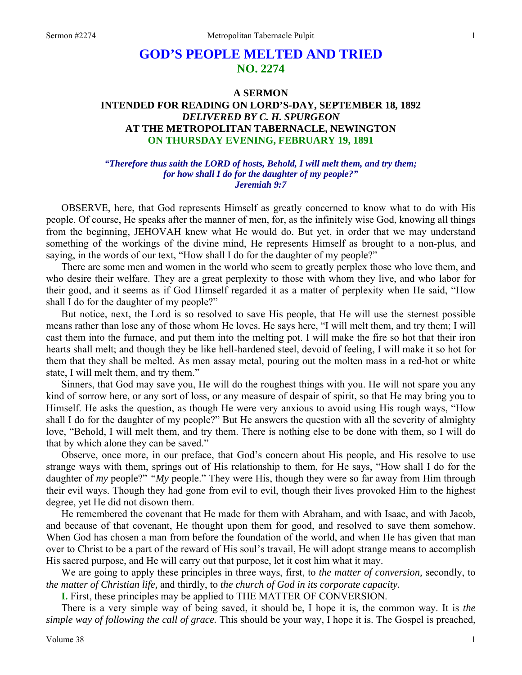# **GOD'S PEOPLE MELTED AND TRIED NO. 2274**

## **A SERMON INTENDED FOR READING ON LORD'S-DAY, SEPTEMBER 18, 1892**  *DELIVERED BY C. H. SPURGEON*  **AT THE METROPOLITAN TABERNACLE, NEWINGTON ON THURSDAY EVENING, FEBRUARY 19, 1891**

#### *"Therefore thus saith the LORD of hosts, Behold, I will melt them, and try them; for how shall I do for the daughter of my people?" Jeremiah 9:7*

OBSERVE, here, that God represents Himself as greatly concerned to know what to do with His people. Of course, He speaks after the manner of men, for, as the infinitely wise God, knowing all things from the beginning, JEHOVAH knew what He would do. But yet, in order that we may understand something of the workings of the divine mind, He represents Himself as brought to a non-plus, and saying, in the words of our text, "How shall I do for the daughter of my people?"

There are some men and women in the world who seem to greatly perplex those who love them, and who desire their welfare. They are a great perplexity to those with whom they live, and who labor for their good, and it seems as if God Himself regarded it as a matter of perplexity when He said, "How shall I do for the daughter of my people?"

But notice, next, the Lord is so resolved to save His people, that He will use the sternest possible means rather than lose any of those whom He loves. He says here, "I will melt them, and try them; I will cast them into the furnace, and put them into the melting pot. I will make the fire so hot that their iron hearts shall melt; and though they be like hell-hardened steel, devoid of feeling, I will make it so hot for them that they shall be melted. As men assay metal, pouring out the molten mass in a red-hot or white state, I will melt them, and try them."

Sinners, that God may save you, He will do the roughest things with you. He will not spare you any kind of sorrow here, or any sort of loss, or any measure of despair of spirit, so that He may bring you to Himself. He asks the question, as though He were very anxious to avoid using His rough ways, "How shall I do for the daughter of my people?" But He answers the question with all the severity of almighty love, "Behold, I will melt them, and try them. There is nothing else to be done with them, so I will do that by which alone they can be saved."

Observe, once more, in our preface, that God's concern about His people, and His resolve to use strange ways with them, springs out of His relationship to them, for He says, "How shall I do for the daughter of *my* people?" *"My* people." They were His, though they were so far away from Him through their evil ways. Though they had gone from evil to evil, though their lives provoked Him to the highest degree, yet He did not disown them.

He remembered the covenant that He made for them with Abraham, and with Isaac, and with Jacob, and because of that covenant, He thought upon them for good, and resolved to save them somehow. When God has chosen a man from before the foundation of the world, and when He has given that man over to Christ to be a part of the reward of His soul's travail, He will adopt strange means to accomplish His sacred purpose, and He will carry out that purpose, let it cost him what it may.

We are going to apply these principles in three ways, first, to *the matter of conversion,* secondly, to *the matter of Christian life,* and thirdly, to *the church of God in its corporate capacity.*

**I.** First, these principles may be applied to THE MATTER OF CONVERSION.

There is a very simple way of being saved, it should be, I hope it is, the common way. It is *the simple way of following the call of grace.* This should be your way, I hope it is. The Gospel is preached,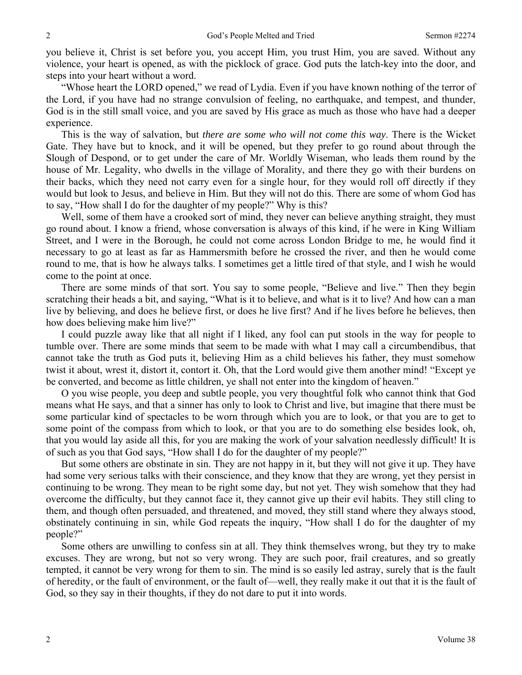you believe it, Christ is set before you, you accept Him, you trust Him, you are saved. Without any violence, your heart is opened, as with the picklock of grace. God puts the latch-key into the door, and steps into your heart without a word.

"Whose heart the LORD opened," we read of Lydia. Even if you have known nothing of the terror of the Lord, if you have had no strange convulsion of feeling, no earthquake, and tempest, and thunder, God is in the still small voice, and you are saved by His grace as much as those who have had a deeper experience.

This is the way of salvation, but *there are some who will not come this way*. There is the Wicket Gate. They have but to knock, and it will be opened, but they prefer to go round about through the Slough of Despond, or to get under the care of Mr. Worldly Wiseman, who leads them round by the house of Mr. Legality, who dwells in the village of Morality, and there they go with their burdens on their backs, which they need not carry even for a single hour, for they would roll off directly if they would but look to Jesus, and believe in Him. But they will not do this. There are some of whom God has to say, "How shall I do for the daughter of my people?" Why is this?

Well, some of them have a crooked sort of mind, they never can believe anything straight, they must go round about. I know a friend, whose conversation is always of this kind, if he were in King William Street, and I were in the Borough, he could not come across London Bridge to me, he would find it necessary to go at least as far as Hammersmith before he crossed the river, and then he would come round to me, that is how he always talks. I sometimes get a little tired of that style, and I wish he would come to the point at once.

There are some minds of that sort. You say to some people, "Believe and live." Then they begin scratching their heads a bit, and saying, "What is it to believe, and what is it to live? And how can a man live by believing, and does he believe first, or does he live first? And if he lives before he believes, then how does believing make him live?"

I could puzzle away like that all night if I liked, any fool can put stools in the way for people to tumble over. There are some minds that seem to be made with what I may call a circumbendibus, that cannot take the truth as God puts it, believing Him as a child believes his father, they must somehow twist it about, wrest it, distort it, contort it. Oh, that the Lord would give them another mind! "Except ye be converted, and become as little children, ye shall not enter into the kingdom of heaven."

O you wise people, you deep and subtle people, you very thoughtful folk who cannot think that God means what He says, and that a sinner has only to look to Christ and live, but imagine that there must be some particular kind of spectacles to be worn through which you are to look, or that you are to get to some point of the compass from which to look, or that you are to do something else besides look, oh, that you would lay aside all this, for you are making the work of your salvation needlessly difficult! It is of such as you that God says, "How shall I do for the daughter of my people?"

But some others are obstinate in sin. They are not happy in it, but they will not give it up. They have had some very serious talks with their conscience, and they know that they are wrong, yet they persist in continuing to be wrong. They mean to be right some day, but not yet. They wish somehow that they had overcome the difficulty, but they cannot face it, they cannot give up their evil habits. They still cling to them, and though often persuaded, and threatened, and moved, they still stand where they always stood, obstinately continuing in sin, while God repeats the inquiry, "How shall I do for the daughter of my people?"

Some others are unwilling to confess sin at all. They think themselves wrong, but they try to make excuses. They are wrong, but not so very wrong. They are such poor, frail creatures, and so greatly tempted, it cannot be very wrong for them to sin. The mind is so easily led astray, surely that is the fault of heredity, or the fault of environment, or the fault of—well, they really make it out that it is the fault of God, so they say in their thoughts, if they do not dare to put it into words.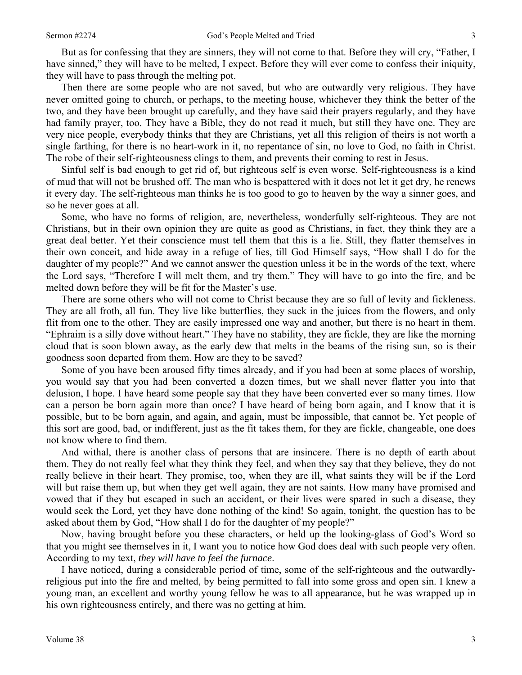But as for confessing that they are sinners, they will not come to that. Before they will cry, "Father, I have sinned," they will have to be melted, I expect. Before they will ever come to confess their iniquity, they will have to pass through the melting pot.

Then there are some people who are not saved, but who are outwardly very religious. They have never omitted going to church, or perhaps, to the meeting house, whichever they think the better of the two, and they have been brought up carefully, and they have said their prayers regularly, and they have had family prayer, too. They have a Bible, they do not read it much, but still they have one. They are very nice people, everybody thinks that they are Christians, yet all this religion of theirs is not worth a single farthing, for there is no heart-work in it, no repentance of sin, no love to God, no faith in Christ. The robe of their self-righteousness clings to them, and prevents their coming to rest in Jesus.

Sinful self is bad enough to get rid of, but righteous self is even worse. Self-righteousness is a kind of mud that will not be brushed off. The man who is bespattered with it does not let it get dry, he renews it every day. The self-righteous man thinks he is too good to go to heaven by the way a sinner goes, and so he never goes at all.

Some, who have no forms of religion, are, nevertheless, wonderfully self-righteous. They are not Christians, but in their own opinion they are quite as good as Christians, in fact, they think they are a great deal better. Yet their conscience must tell them that this is a lie. Still, they flatter themselves in their own conceit, and hide away in a refuge of lies, till God Himself says, "How shall I do for the daughter of my people?" And we cannot answer the question unless it be in the words of the text, where the Lord says, "Therefore I will melt them, and try them." They will have to go into the fire, and be melted down before they will be fit for the Master's use.

There are some others who will not come to Christ because they are so full of levity and fickleness. They are all froth, all fun. They live like butterflies, they suck in the juices from the flowers, and only flit from one to the other. They are easily impressed one way and another, but there is no heart in them. "Ephraim is a silly dove without heart." They have no stability, they are fickle, they are like the morning cloud that is soon blown away, as the early dew that melts in the beams of the rising sun, so is their goodness soon departed from them. How are they to be saved?

Some of you have been aroused fifty times already, and if you had been at some places of worship, you would say that you had been converted a dozen times, but we shall never flatter you into that delusion, I hope. I have heard some people say that they have been converted ever so many times. How can a person be born again more than once? I have heard of being born again, and I know that it is possible, but to be born again, and again, and again, must be impossible, that cannot be. Yet people of this sort are good, bad, or indifferent, just as the fit takes them, for they are fickle, changeable, one does not know where to find them.

And withal, there is another class of persons that are insincere. There is no depth of earth about them. They do not really feel what they think they feel, and when they say that they believe, they do not really believe in their heart. They promise, too, when they are ill, what saints they will be if the Lord will but raise them up, but when they get well again, they are not saints. How many have promised and vowed that if they but escaped in such an accident, or their lives were spared in such a disease, they would seek the Lord, yet they have done nothing of the kind! So again, tonight, the question has to be asked about them by God, "How shall I do for the daughter of my people?"

Now, having brought before you these characters, or held up the looking-glass of God's Word so that you might see themselves in it, I want you to notice how God does deal with such people very often. According to my text, *they will have to feel the furnace*.

I have noticed, during a considerable period of time, some of the self-righteous and the outwardlyreligious put into the fire and melted, by being permitted to fall into some gross and open sin. I knew a young man, an excellent and worthy young fellow he was to all appearance, but he was wrapped up in his own righteousness entirely, and there was no getting at him.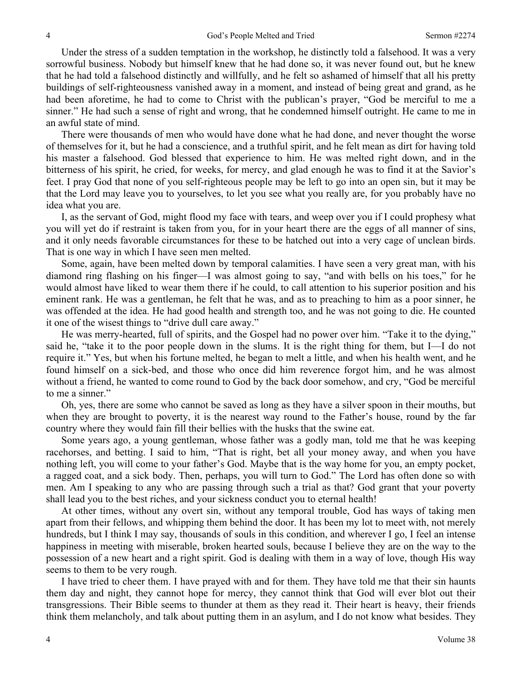Under the stress of a sudden temptation in the workshop, he distinctly told a falsehood. It was a very sorrowful business. Nobody but himself knew that he had done so, it was never found out, but he knew that he had told a falsehood distinctly and willfully, and he felt so ashamed of himself that all his pretty buildings of self-righteousness vanished away in a moment, and instead of being great and grand, as he had been aforetime, he had to come to Christ with the publican's prayer, "God be merciful to me a sinner." He had such a sense of right and wrong, that he condemned himself outright. He came to me in an awful state of mind.

There were thousands of men who would have done what he had done, and never thought the worse of themselves for it, but he had a conscience, and a truthful spirit, and he felt mean as dirt for having told his master a falsehood. God blessed that experience to him. He was melted right down, and in the bitterness of his spirit, he cried, for weeks, for mercy, and glad enough he was to find it at the Savior's feet. I pray God that none of you self-righteous people may be left to go into an open sin, but it may be that the Lord may leave you to yourselves, to let you see what you really are, for you probably have no idea what you are.

I, as the servant of God, might flood my face with tears, and weep over you if I could prophesy what you will yet do if restraint is taken from you, for in your heart there are the eggs of all manner of sins, and it only needs favorable circumstances for these to be hatched out into a very cage of unclean birds. That is one way in which I have seen men melted.

Some, again, have been melted down by temporal calamities. I have seen a very great man, with his diamond ring flashing on his finger—I was almost going to say, "and with bells on his toes," for he would almost have liked to wear them there if he could, to call attention to his superior position and his eminent rank. He was a gentleman, he felt that he was, and as to preaching to him as a poor sinner, he was offended at the idea. He had good health and strength too, and he was not going to die. He counted it one of the wisest things to "drive dull care away."

He was merry-hearted, full of spirits, and the Gospel had no power over him. "Take it to the dying," said he, "take it to the poor people down in the slums. It is the right thing for them, but I—I do not require it." Yes, but when his fortune melted, he began to melt a little, and when his health went, and he found himself on a sick-bed, and those who once did him reverence forgot him, and he was almost without a friend, he wanted to come round to God by the back door somehow, and cry, "God be merciful to me a sinner."

Oh, yes, there are some who cannot be saved as long as they have a silver spoon in their mouths, but when they are brought to poverty, it is the nearest way round to the Father's house, round by the far country where they would fain fill their bellies with the husks that the swine eat.

Some years ago, a young gentleman, whose father was a godly man, told me that he was keeping racehorses, and betting. I said to him, "That is right, bet all your money away, and when you have nothing left, you will come to your father's God. Maybe that is the way home for you, an empty pocket, a ragged coat, and a sick body. Then, perhaps, you will turn to God." The Lord has often done so with men. Am I speaking to any who are passing through such a trial as that? God grant that your poverty shall lead you to the best riches, and your sickness conduct you to eternal health!

At other times, without any overt sin, without any temporal trouble, God has ways of taking men apart from their fellows, and whipping them behind the door. It has been my lot to meet with, not merely hundreds, but I think I may say, thousands of souls in this condition, and wherever I go, I feel an intense happiness in meeting with miserable, broken hearted souls, because I believe they are on the way to the possession of a new heart and a right spirit. God is dealing with them in a way of love, though His way seems to them to be very rough.

I have tried to cheer them. I have prayed with and for them. They have told me that their sin haunts them day and night, they cannot hope for mercy, they cannot think that God will ever blot out their transgressions. Their Bible seems to thunder at them as they read it. Their heart is heavy, their friends think them melancholy, and talk about putting them in an asylum, and I do not know what besides. They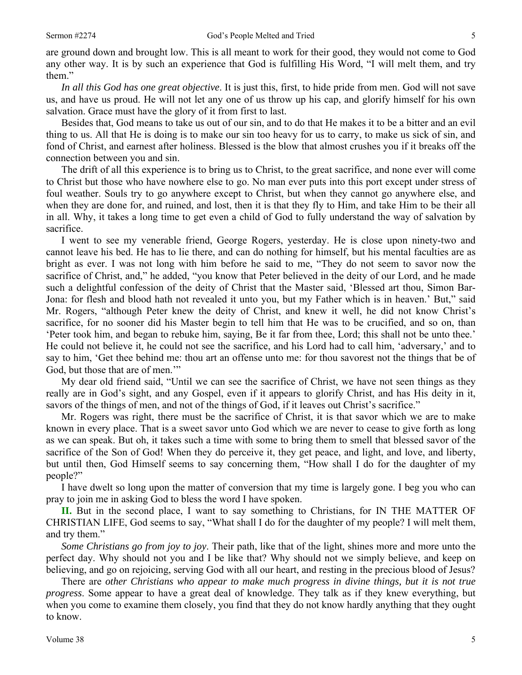are ground down and brought low. This is all meant to work for their good, they would not come to God any other way. It is by such an experience that God is fulfilling His Word, "I will melt them, and try them."

*In all this God has one great objective*. It is just this, first, to hide pride from men. God will not save us, and have us proud. He will not let any one of us throw up his cap, and glorify himself for his own salvation. Grace must have the glory of it from first to last.

Besides that, God means to take us out of our sin, and to do that He makes it to be a bitter and an evil thing to us. All that He is doing is to make our sin too heavy for us to carry, to make us sick of sin, and fond of Christ, and earnest after holiness. Blessed is the blow that almost crushes you if it breaks off the connection between you and sin.

The drift of all this experience is to bring us to Christ, to the great sacrifice, and none ever will come to Christ but those who have nowhere else to go. No man ever puts into this port except under stress of foul weather. Souls try to go anywhere except to Christ, but when they cannot go anywhere else, and when they are done for, and ruined, and lost, then it is that they fly to Him, and take Him to be their all in all. Why, it takes a long time to get even a child of God to fully understand the way of salvation by sacrifice.

I went to see my venerable friend, George Rogers, yesterday. He is close upon ninety-two and cannot leave his bed. He has to lie there, and can do nothing for himself, but his mental faculties are as bright as ever. I was not long with him before he said to me, "They do not seem to savor now the sacrifice of Christ, and," he added, "you know that Peter believed in the deity of our Lord, and he made such a delightful confession of the deity of Christ that the Master said, 'Blessed art thou, Simon Bar-Jona: for flesh and blood hath not revealed it unto you, but my Father which is in heaven.' But," said Mr. Rogers, "although Peter knew the deity of Christ, and knew it well, he did not know Christ's sacrifice, for no sooner did his Master begin to tell him that He was to be crucified, and so on, than 'Peter took him, and began to rebuke him, saying, Be it far from thee, Lord; this shall not be unto thee.' He could not believe it, he could not see the sacrifice, and his Lord had to call him, 'adversary,' and to say to him, 'Get thee behind me: thou art an offense unto me: for thou savorest not the things that be of God, but those that are of men."

My dear old friend said, "Until we can see the sacrifice of Christ, we have not seen things as they really are in God's sight, and any Gospel, even if it appears to glorify Christ, and has His deity in it, savors of the things of men, and not of the things of God, if it leaves out Christ's sacrifice."

Mr. Rogers was right, there must be the sacrifice of Christ, it is that savor which we are to make known in every place. That is a sweet savor unto God which we are never to cease to give forth as long as we can speak. But oh, it takes such a time with some to bring them to smell that blessed savor of the sacrifice of the Son of God! When they do perceive it, they get peace, and light, and love, and liberty, but until then, God Himself seems to say concerning them, "How shall I do for the daughter of my people?"

I have dwelt so long upon the matter of conversion that my time is largely gone. I beg you who can pray to join me in asking God to bless the word I have spoken.

**II.** But in the second place, I want to say something to Christians, for IN THE MATTER OF CHRISTIAN LIFE, God seems to say, "What shall I do for the daughter of my people? I will melt them, and try them."

*Some Christians go from joy to joy*. Their path, like that of the light, shines more and more unto the perfect day. Why should not you and I be like that? Why should not we simply believe, and keep on believing, and go on rejoicing, serving God with all our heart, and resting in the precious blood of Jesus?

There are *other Christians who appear to make much progress in divine things, but it is not true progress*. Some appear to have a great deal of knowledge. They talk as if they knew everything, but when you come to examine them closely, you find that they do not know hardly anything that they ought to know.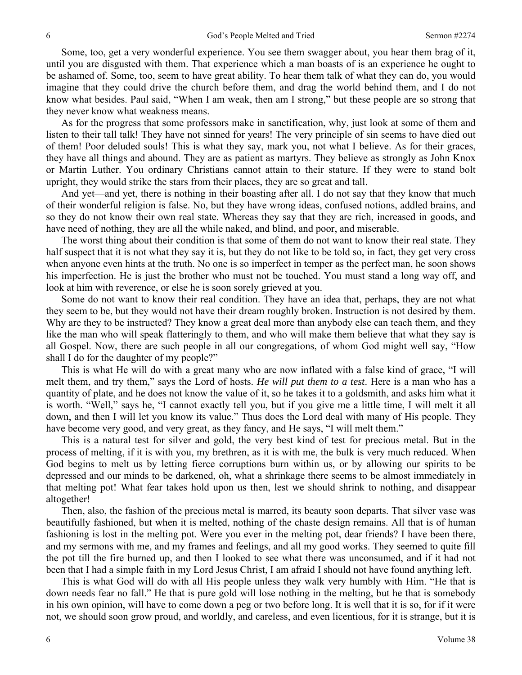Some, too, get a very wonderful experience. You see them swagger about, you hear them brag of it, until you are disgusted with them. That experience which a man boasts of is an experience he ought to be ashamed of. Some, too, seem to have great ability. To hear them talk of what they can do, you would imagine that they could drive the church before them, and drag the world behind them, and I do not know what besides. Paul said, "When I am weak, then am I strong," but these people are so strong that they never know what weakness means.

As for the progress that some professors make in sanctification, why, just look at some of them and listen to their tall talk! They have not sinned for years! The very principle of sin seems to have died out of them! Poor deluded souls! This is what they say, mark you, not what I believe. As for their graces, they have all things and abound. They are as patient as martyrs. They believe as strongly as John Knox or Martin Luther. You ordinary Christians cannot attain to their stature. If they were to stand bolt upright, they would strike the stars from their places, they are so great and tall.

And yet—and yet, there is nothing in their boasting after all. I do not say that they know that much of their wonderful religion is false. No, but they have wrong ideas, confused notions, addled brains, and so they do not know their own real state. Whereas they say that they are rich, increased in goods, and have need of nothing, they are all the while naked, and blind, and poor, and miserable.

The worst thing about their condition is that some of them do not want to know their real state. They half suspect that it is not what they say it is, but they do not like to be told so, in fact, they get very cross when anyone even hints at the truth. No one is so imperfect in temper as the perfect man, he soon shows his imperfection. He is just the brother who must not be touched. You must stand a long way off, and look at him with reverence, or else he is soon sorely grieved at you.

Some do not want to know their real condition. They have an idea that, perhaps, they are not what they seem to be, but they would not have their dream roughly broken. Instruction is not desired by them. Why are they to be instructed? They know a great deal more than anybody else can teach them, and they like the man who will speak flatteringly to them, and who will make them believe that what they say is all Gospel. Now, there are such people in all our congregations, of whom God might well say, "How shall I do for the daughter of my people?"

This is what He will do with a great many who are now inflated with a false kind of grace, "I will melt them, and try them," says the Lord of hosts. *He will put them to a test*. Here is a man who has a quantity of plate, and he does not know the value of it, so he takes it to a goldsmith, and asks him what it is worth. "Well," says he, "I cannot exactly tell you, but if you give me a little time, I will melt it all down, and then I will let you know its value." Thus does the Lord deal with many of His people. They have become very good, and very great, as they fancy, and He says, "I will melt them."

This is a natural test for silver and gold, the very best kind of test for precious metal. But in the process of melting, if it is with you, my brethren, as it is with me, the bulk is very much reduced. When God begins to melt us by letting fierce corruptions burn within us, or by allowing our spirits to be depressed and our minds to be darkened, oh, what a shrinkage there seems to be almost immediately in that melting pot! What fear takes hold upon us then, lest we should shrink to nothing, and disappear altogether!

Then, also, the fashion of the precious metal is marred, its beauty soon departs. That silver vase was beautifully fashioned, but when it is melted, nothing of the chaste design remains. All that is of human fashioning is lost in the melting pot. Were you ever in the melting pot, dear friends? I have been there, and my sermons with me, and my frames and feelings, and all my good works. They seemed to quite fill the pot till the fire burned up, and then I looked to see what there was unconsumed, and if it had not been that I had a simple faith in my Lord Jesus Christ, I am afraid I should not have found anything left.

This is what God will do with all His people unless they walk very humbly with Him. "He that is down needs fear no fall." He that is pure gold will lose nothing in the melting, but he that is somebody in his own opinion, will have to come down a peg or two before long. It is well that it is so, for if it were not, we should soon grow proud, and worldly, and careless, and even licentious, for it is strange, but it is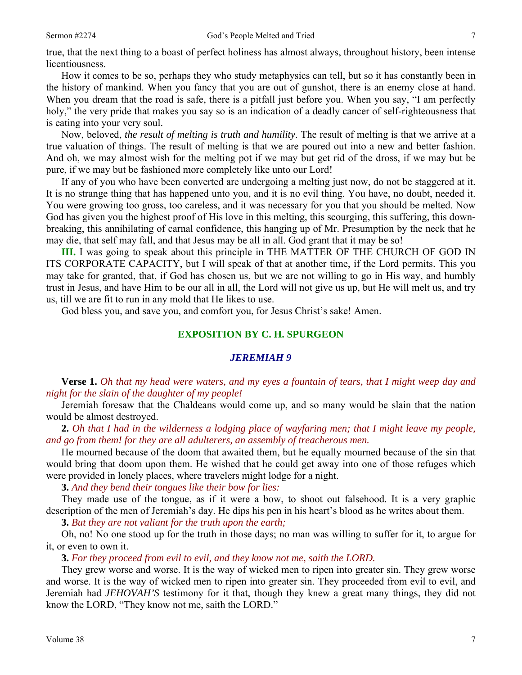true, that the next thing to a boast of perfect holiness has almost always, throughout history, been intense licentiousness.

How it comes to be so, perhaps they who study metaphysics can tell, but so it has constantly been in the history of mankind. When you fancy that you are out of gunshot, there is an enemy close at hand. When you dream that the road is safe, there is a pitfall just before you. When you say, "I am perfectly holy," the very pride that makes you say so is an indication of a deadly cancer of self-righteousness that is eating into your very soul.

Now, beloved, *the result of melting is truth and humility*. The result of melting is that we arrive at a true valuation of things. The result of melting is that we are poured out into a new and better fashion. And oh, we may almost wish for the melting pot if we may but get rid of the dross, if we may but be pure, if we may but be fashioned more completely like unto our Lord!

If any of you who have been converted are undergoing a melting just now, do not be staggered at it. It is no strange thing that has happened unto you, and it is no evil thing. You have, no doubt, needed it. You were growing too gross, too careless, and it was necessary for you that you should be melted. Now God has given you the highest proof of His love in this melting, this scourging, this suffering, this downbreaking, this annihilating of carnal confidence, this hanging up of Mr. Presumption by the neck that he may die, that self may fall, and that Jesus may be all in all. God grant that it may be so!

**III.** I was going to speak about this principle in THE MATTER OF THE CHURCH OF GOD IN ITS CORPORATE CAPACITY, but I will speak of that at another time, if the Lord permits. This you may take for granted, that, if God has chosen us, but we are not willing to go in His way, and humbly trust in Jesus, and have Him to be our all in all, the Lord will not give us up, but He will melt us, and try us, till we are fit to run in any mold that He likes to use.

God bless you, and save you, and comfort you, for Jesus Christ's sake! Amen.

## **EXPOSITION BY C. H. SPURGEON**

#### *JEREMIAH 9*

**Verse 1.** *Oh that my head were waters, and my eyes a fountain of tears, that I might weep day and night for the slain of the daughter of my people!*

Jeremiah foresaw that the Chaldeans would come up, and so many would be slain that the nation would be almost destroyed.

**2.** *Oh that I had in the wilderness a lodging place of wayfaring men; that I might leave my people, and go from them! for they are all adulterers, an assembly of treacherous men.*

He mourned because of the doom that awaited them, but he equally mourned because of the sin that would bring that doom upon them. He wished that he could get away into one of those refuges which were provided in lonely places, where travelers might lodge for a night.

**3.** *And they bend their tongues like their bow for lies:*

They made use of the tongue, as if it were a bow, to shoot out falsehood. It is a very graphic description of the men of Jeremiah's day. He dips his pen in his heart's blood as he writes about them.

**3.** *But they are not valiant for the truth upon the earth;*

Oh, no! No one stood up for the truth in those days; no man was willing to suffer for it, to argue for it, or even to own it.

**3.** *For they proceed from evil to evil, and they know not me, saith the LORD.* 

They grew worse and worse. It is the way of wicked men to ripen into greater sin. They grew worse and worse. It is the way of wicked men to ripen into greater sin. They proceeded from evil to evil, and Jeremiah had *JEHOVAH'S* testimony for it that, though they knew a great many things, they did not know the LORD, "They know not me, saith the LORD."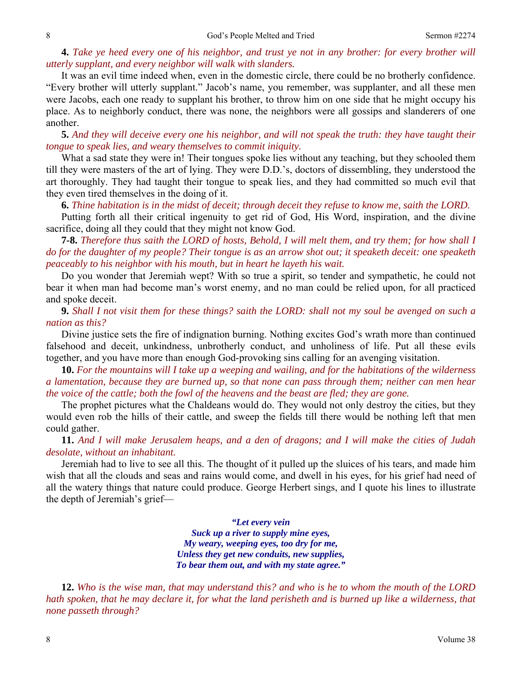### **4.** *Take ye heed every one of his neighbor, and trust ye not in any brother: for every brother will utterly supplant, and every neighbor will walk with slanders.*

It was an evil time indeed when, even in the domestic circle, there could be no brotherly confidence. "Every brother will utterly supplant." Jacob's name, you remember, was supplanter, and all these men were Jacobs, each one ready to supplant his brother, to throw him on one side that he might occupy his place. As to neighborly conduct, there was none, the neighbors were all gossips and slanderers of one another.

**5.** *And they will deceive every one his neighbor, and will not speak the truth: they have taught their tongue to speak lies, and weary themselves to commit iniquity.*

What a sad state they were in! Their tongues spoke lies without any teaching, but they schooled them till they were masters of the art of lying. They were D.D.'s, doctors of dissembling, they understood the art thoroughly. They had taught their tongue to speak lies, and they had committed so much evil that they even tired themselves in the doing of it.

**6.** *Thine habitation is in the midst of deceit; through deceit they refuse to know me, saith the LORD.*

Putting forth all their critical ingenuity to get rid of God, His Word, inspiration, and the divine sacrifice, doing all they could that they might not know God.

**7-8.** *Therefore thus saith the LORD of hosts, Behold, I will melt them, and try them; for how shall I do for the daughter of my people? Their tongue is as an arrow shot out; it speaketh deceit: one speaketh peaceably to his neighbor with his mouth, but in heart he layeth his wait.*

Do you wonder that Jeremiah wept? With so true a spirit, so tender and sympathetic, he could not bear it when man had become man's worst enemy, and no man could be relied upon, for all practiced and spoke deceit.

**9.** *Shall I not visit them for these things? saith the LORD: shall not my soul be avenged on such a nation as this?*

Divine justice sets the fire of indignation burning. Nothing excites God's wrath more than continued falsehood and deceit, unkindness, unbrotherly conduct, and unholiness of life. Put all these evils together, and you have more than enough God-provoking sins calling for an avenging visitation.

**10.** *For the mountains will I take up a weeping and wailing, and for the habitations of the wilderness a lamentation, because they are burned up, so that none can pass through them; neither can men hear the voice of the cattle; both the fowl of the heavens and the beast are fled; they are gone.*

The prophet pictures what the Chaldeans would do. They would not only destroy the cities, but they would even rob the hills of their cattle, and sweep the fields till there would be nothing left that men could gather.

**11.** *And I will make Jerusalem heaps, and a den of dragons; and I will make the cities of Judah desolate, without an inhabitant.*

Jeremiah had to live to see all this. The thought of it pulled up the sluices of his tears, and made him wish that all the clouds and seas and rains would come, and dwell in his eyes, for his grief had need of all the watery things that nature could produce. George Herbert sings, and I quote his lines to illustrate the depth of Jeremiah's grief—

> *"Let every vein Suck up a river to supply mine eyes, My weary, weeping eyes, too dry for me, Unless they get new conduits, new supplies, To bear them out, and with my state agree."*

**12.** *Who is the wise man, that may understand this? and who is he to whom the mouth of the LORD hath spoken, that he may declare it, for what the land perisheth and is burned up like a wilderness, that none passeth through?*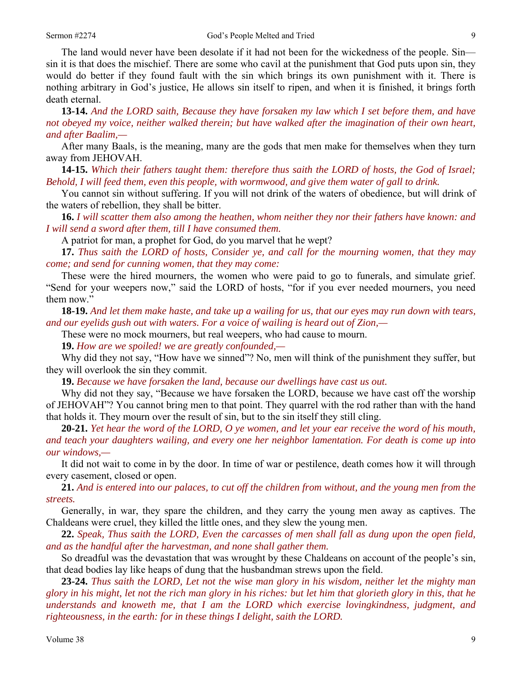The land would never have been desolate if it had not been for the wickedness of the people. Sin sin it is that does the mischief. There are some who cavil at the punishment that God puts upon sin, they would do better if they found fault with the sin which brings its own punishment with it. There is nothing arbitrary in God's justice, He allows sin itself to ripen, and when it is finished, it brings forth death eternal.

**13-14.** *And the LORD saith, Because they have forsaken my law which I set before them, and have not obeyed my voice, neither walked therein; but have walked after the imagination of their own heart, and after Baalim,—*

After many Baals, is the meaning, many are the gods that men make for themselves when they turn away from JEHOVAH.

**14-15.** *Which their fathers taught them: therefore thus saith the LORD of hosts, the God of Israel; Behold, I will feed them, even this people, with wormwood, and give them water of gall to drink.*

You cannot sin without suffering. If you will not drink of the waters of obedience, but will drink of the waters of rebellion, they shall be bitter.

**16.** *I will scatter them also among the heathen, whom neither they nor their fathers have known: and I will send a sword after them, till I have consumed them.*

A patriot for man, a prophet for God, do you marvel that he wept?

**17.** *Thus saith the LORD of hosts, Consider ye, and call for the mourning women, that they may come; and send for cunning women, that they may come:*

These were the hired mourners, the women who were paid to go to funerals, and simulate grief. "Send for your weepers now," said the LORD of hosts, "for if you ever needed mourners, you need them now."

**18-19.** *And let them make haste, and take up a wailing for us, that our eyes may run down with tears, and our eyelids gush out with waters. For a voice of wailing is heard out of Zion,—*

These were no mock mourners, but real weepers, who had cause to mourn.

**19.** *How are we spoiled! we are greatly confounded,—*

Why did they not say, "How have we sinned"? No, men will think of the punishment they suffer, but they will overlook the sin they commit.

**19.** *Because we have forsaken the land, because our dwellings have cast us out.* 

Why did not they say, "Because we have forsaken the LORD, because we have cast off the worship of JEHOVAH"? You cannot bring men to that point. They quarrel with the rod rather than with the hand that holds it. They mourn over the result of sin, but to the sin itself they still cling.

**20-21.** *Yet hear the word of the LORD, O ye women, and let your ear receive the word of his mouth, and teach your daughters wailing, and every one her neighbor lamentation. For death is come up into our windows,—*

It did not wait to come in by the door. In time of war or pestilence, death comes how it will through every casement, closed or open.

**21.** *And is entered into our palaces, to cut off the children from without, and the young men from the streets.*

Generally, in war, they spare the children, and they carry the young men away as captives. The Chaldeans were cruel, they killed the little ones, and they slew the young men.

**22.** *Speak, Thus saith the LORD, Even the carcasses of men shall fall as dung upon the open field, and as the handful after the harvestman, and none shall gather them.*

So dreadful was the devastation that was wrought by these Chaldeans on account of the people's sin, that dead bodies lay like heaps of dung that the husbandman strews upon the field.

**23-24.** *Thus saith the LORD, Let not the wise man glory in his wisdom, neither let the mighty man glory in his might, let not the rich man glory in his riches: but let him that glorieth glory in this, that he understands and knoweth me, that I am the LORD which exercise lovingkindness, judgment, and righteousness, in the earth: for in these things I delight, saith the LORD.*